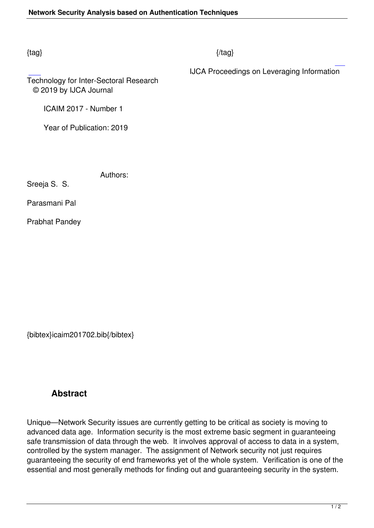## $\{tag\}$

IJCA Proceedings on Leveraging Information

Technology for Inter-Sectoral Research © 2019 by IJCA Journal

ICAIM 2017 - Number 1

Year of Publication: 2019

Authors:

Sreeja S. S.

Parasmani Pal

Prabhat Pandey

{bibtex}icaim201702.bib{/bibtex}

## **Abstract**

Unique—Network Security issues are currently getting to be critical as society is moving to advanced data age. Information security is the most extreme basic segment in guaranteeing safe transmission of data through the web. It involves approval of access to data in a system, controlled by the system manager. The assignment of Network security not just requires guaranteeing the security of end frameworks yet of the whole system. Verification is one of the essential and most generally methods for finding out and guaranteeing security in the system.